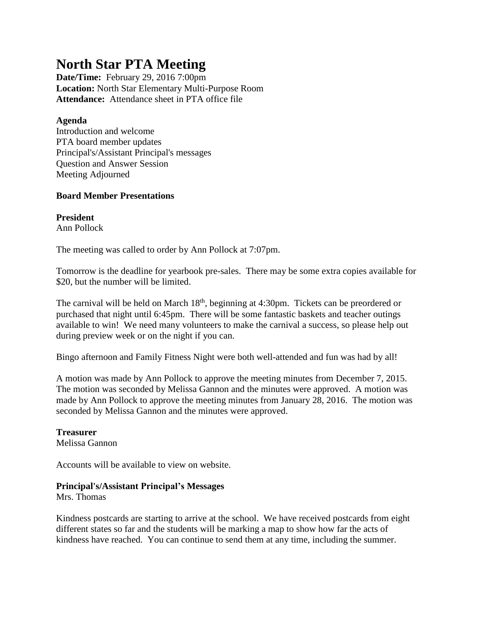# **North Star PTA Meeting**

**Date/Time:** February 29, 2016 7:00pm **Location:** North Star Elementary Multi-Purpose Room **Attendance:** Attendance sheet in PTA office file

## **Agenda**

Introduction and welcome PTA board member updates Principal's/Assistant Principal's messages Question and Answer Session Meeting Adjourned

## **Board Member Presentations**

**President** Ann Pollock

The meeting was called to order by Ann Pollock at 7:07pm.

Tomorrow is the deadline for yearbook pre-sales. There may be some extra copies available for \$20, but the number will be limited.

The carnival will be held on March 18<sup>th</sup>, beginning at 4:30pm. Tickets can be preordered or purchased that night until 6:45pm. There will be some fantastic baskets and teacher outings available to win! We need many volunteers to make the carnival a success, so please help out during preview week or on the night if you can.

Bingo afternoon and Family Fitness Night were both well-attended and fun was had by all!

A motion was made by Ann Pollock to approve the meeting minutes from December 7, 2015. The motion was seconded by Melissa Gannon and the minutes were approved. A motion was made by Ann Pollock to approve the meeting minutes from January 28, 2016. The motion was seconded by Melissa Gannon and the minutes were approved.

**Treasurer** Melissa Gannon

Accounts will be available to view on website.

# **Principal's/Assistant Principal's Messages**

Mrs. Thomas

Kindness postcards are starting to arrive at the school. We have received postcards from eight different states so far and the students will be marking a map to show how far the acts of kindness have reached. You can continue to send them at any time, including the summer.